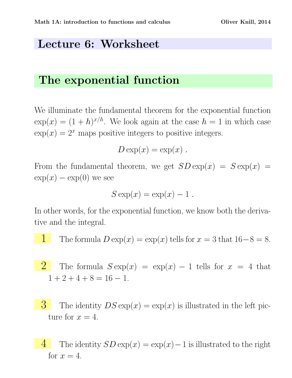## Lecture 6: Worksheet

## The exponential function

We illuminate the fundamental theorem for the exponential function  $\exp(x) = (1 + h)^{x/h}$ . We look again at the case  $h = 1$  in which case  $\exp(x) = 2^x$  maps positive integers to positive integers.

$$
D \exp(x) = \exp(x) .
$$

From the fundamental theorem, we get  $SD \exp(x) = S \exp(x)$  $\exp(x) - \exp(0)$  we see

$$
S \exp(x) = \exp(x) - 1.
$$

In other words, for the exponential function, we know both the derivative and the integral.

The formula 
$$
D \exp(x) = \exp(x)
$$
 tells for  $x = 3$  that  $16-8=8$ .

2 The formula  $S \exp(x) = \exp(x) - 1$  tells for  $x = 4$  that  $1 + 2 + 4 + 8 = 16 - 1.$ 

**3** The identity  $DS \exp(x) = \exp(x)$  is illustrated in the left picture for  $x = 4$ .

4 The identity  $SD \exp(x) = \exp(x) - 1$  is illustrated to the right for  $x=4$ .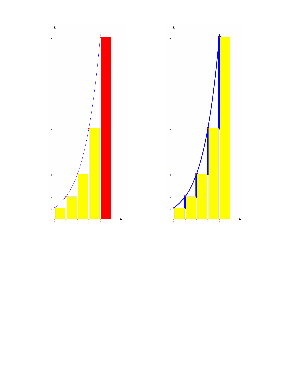